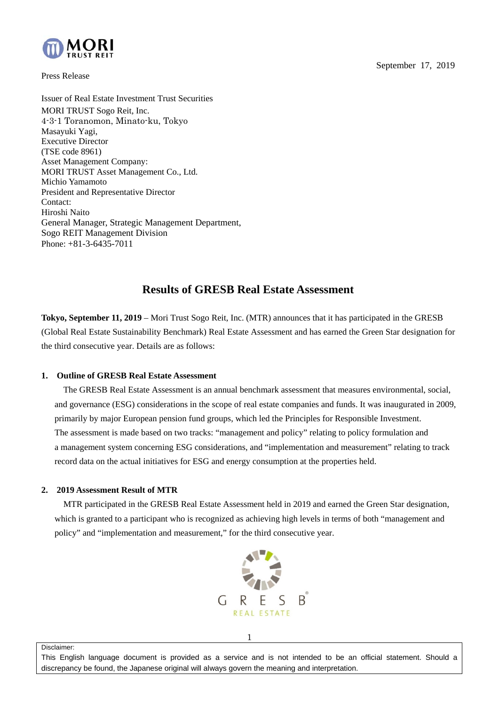



Press Release

Issuer of Real Estate Investment Trust Securities MORI TRUST Sogo Reit, Inc. 4-3-1 Toranomon, Minato-ku, Tokyo Masayuki Yagi, Executive Director (TSE code 8961) Asset Management Company: MORI TRUST Asset Management Co., Ltd. Michio Yamamoto President and Representative Director Contact: Hiroshi Naito General Manager, Strategic Management Department, Sogo REIT Management Division Phone: +81-3-6435-7011

## **Results of GRESB Real Estate Assessment**

**Tokyo, September 11, 2019** – Mori Trust Sogo Reit, Inc. (MTR) announces that it has participated in the GRESB (Global Real Estate Sustainability Benchmark) Real Estate Assessment and has earned the Green Star designation for the third consecutive year. Details are as follows:

## **1. Outline of GRESB Real Estate Assessment**

 The GRESB Real Estate Assessment is an annual benchmark assessment that measures environmental, social, and governance (ESG) considerations in the scope of real estate companies and funds. It was inaugurated in 2009, primarily by major European pension fund groups, which led the Principles for Responsible Investment. The assessment is made based on two tracks: "management and policy" relating to policy formulation and a management system concerning ESG considerations, and "implementation and measurement" relating to track record data on the actual initiatives for ESG and energy consumption at the properties held.

## **2. 2019 Assessment Result of MTR**

MTR participated in the GRESB Real Estate Assessment held in 2019 and earned the Green Star designation, which is granted to a participant who is recognized as achieving high levels in terms of both "management and policy" and "implementation and measurement," for the third consecutive year.



Disclaimer:

This English language document is provided as a service and is not intended to be an official statement. Should a discrepancy be found, the Japanese original will always govern the meaning and interpretation.